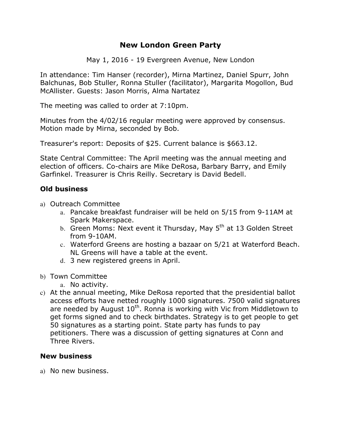# **New London Green Party**

May 1, 2016 - 19 Evergreen Avenue, New London

In attendance: Tim Hanser (recorder), Mirna Martinez, Daniel Spurr, John Balchunas, Bob Stuller, Ronna Stuller (facilitator), Margarita Mogollon, Bud McAllister. Guests: Jason Morris, Alma Nartatez

The meeting was called to order at 7:10pm.

Minutes from the 4/02/16 regular meeting were approved by consensus. Motion made by Mirna, seconded by Bob.

Treasurer's report: Deposits of \$25. Current balance is \$663.12.

State Central Committee: The April meeting was the annual meeting and election of officers. Co-chairs are Mike DeRosa, Barbary Barry, and Emily Garfinkel. Treasurer is Chris Reilly. Secretary is David Bedell.

### **Old business**

- a) Outreach Committee
	- a. Pancake breakfast fundraiser will be held on 5/15 from 9-11AM at Spark Makerspace.
	- b. Green Moms: Next event it Thursday, May 5<sup>th</sup> at 13 Golden Street from 9-10AM.
	- c. Waterford Greens are hosting a bazaar on 5/21 at Waterford Beach. NL Greens will have a table at the event.
	- d. 3 new registered greens in April.
- b) Town Committee
	- a. No activity.
- c) At the annual meeting, Mike DeRosa reported that the presidential ballot access efforts have netted roughly 1000 signatures. 7500 valid signatures are needed by August  $10^{th}$ . Ronna is working with Vic from Middletown to get forms signed and to check birthdates. Strategy is to get people to get 50 signatures as a starting point. State party has funds to pay petitioners. There was a discussion of getting signatures at Conn and Three Rivers.

### **New business**

a) No new business.